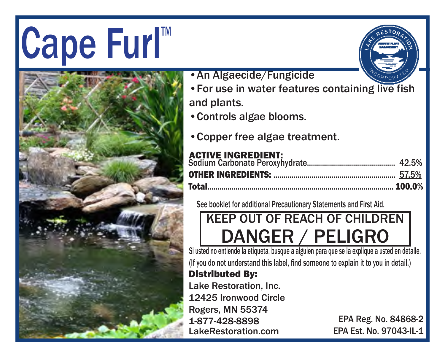# $|Cape$  Furl





- •An Algaecide/Fungicide
- •For use in water features containing live fish and plants.
- •Controls algae blooms.
- •Copper free algae treatment.

#### ACTIVE INGREDIENT:

| Total……………………………………………………………………………… 100.0% |  |
|--------------------------------------------|--|
|                                            |  |
|                                            |  |

See booklet for additional Precautionary Statements and First Aid.

### KEEP OUT OF REACH OF CHILDREN DANGER / PELIGRO

Si usted no entiende la etiqueta, busque a alguien para que se la explique a usted en detalle. (If you do not understand this label, find someone to explain it to you in detail.)

#### Distributed By:

Lake Restoration, Inc. 12425 Ironwood Circle Rogers, MN 55374 1-877-428-8898 LakeRestoration.com

EPA Reg. No. 84868-2 EPA Est. No. 97043-IL-1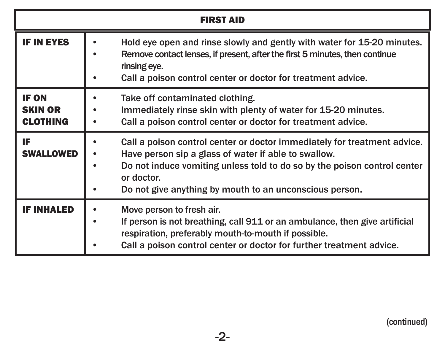| <b>FIRST AID</b>                                  |                                                                                                                                                                                                                                                                                       |  |
|---------------------------------------------------|---------------------------------------------------------------------------------------------------------------------------------------------------------------------------------------------------------------------------------------------------------------------------------------|--|
| <b>IF IN EYES</b>                                 | Hold eye open and rinse slowly and gently with water for 15-20 minutes.<br>Remove contact lenses, if present, after the first 5 minutes, then continue<br>rinsing eye.<br>Call a poison control center or doctor for treatment advice.                                                |  |
| <b>IF ON</b><br><b>SKIN OR</b><br><b>CLOTHING</b> | Take off contaminated clothing.<br>Immediately rinse skin with plenty of water for 15-20 minutes.<br>Call a poison control center or doctor for treatment advice.                                                                                                                     |  |
| IF<br><b>SWALLOWED</b>                            | Call a poison control center or doctor immediately for treatment advice.<br>Have person sip a glass of water if able to swallow.<br>Do not induce vomiting unless told to do so by the poison control center<br>or doctor.<br>Do not give anything by mouth to an unconscious person. |  |
| <b>IF INHALED</b>                                 | Move person to fresh air.<br>If person is not breathing, call 911 or an ambulance, then give artificial<br>respiration, preferably mouth-to-mouth if possible.<br>Call a poison control center or doctor for further treatment advice.                                                |  |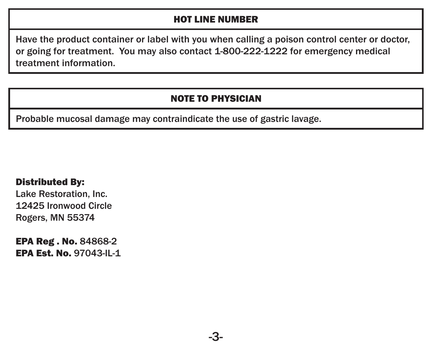#### HOT LINE NUMBER

Have the product container or label with you when calling a poison control center or doctor, or going for treatment. You may also contact 1-800-222-1222 for emergency medical treatment information.

#### NOTE TO PHYSICIAN

Probable mucosal damage may contraindicate the use of gastric lavage.

#### Distributed By:

 Lake Restoration, Inc. 12425 Ironwood Circle Rogers, MN 55374

 EPA Reg . No. 84868-2 EPA Est. No. 97043-IL-1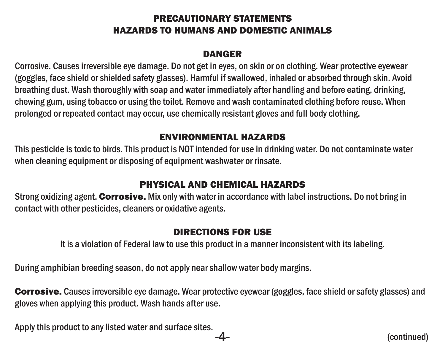#### PRECAUTIONARY STATEMENTS HAZARDS TO HUMANS AND DOMESTIC ANIMALS

#### **DANGED**

Corrosive. Causes irreversible eye damage. Do not get in eyes, on skin or on clothing. Wear protective eyewear (goggles, face shield or shielded safety glasses). Harmful if swallowed, inhaled or absorbed through skin. Avoid breathing dust. Wash thoroughly with soap and water immediately after handling and before eating, drinking, chewing gum, using tobacco or using the toilet. Remove and wash contaminated clothing before reuse. When prolonged or repeated contact may occur, use chemically resistant gloves and full body clothing.

#### ENVIRONMENTAL HAZARDS

This pesticide is toxic to birds. This product is NOT intended for use in drinking water. Do not contaminate water when cleaning equipment or disposing of equipment washwater or rinsate.

#### PHYSICAL AND CHEMICAL HAZARDS

Strong oxidizing agent. Corrosive. Mix only with water in accordance with label instructions. Do not bring in contact with other pesticides, cleaners or oxidative agents.

#### DIRECTIONS FOR USE

It is a violation of Federal law to use this product in a manner inconsistent with its labeling.

During amphibian breeding season, do not apply near shallow water body margins.

Corrosive. Causes irreversible eye damage. Wear protective eyewear (goggles, face shield or safety glasses) and gloves when applying this product. Wash hands after use.

Apply this product to any listed water and surface sites.

-4- (continued)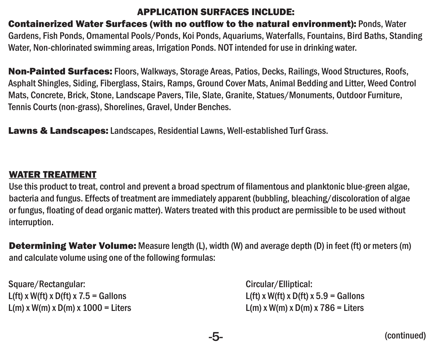#### APPLICATION SURFACES INCLUDE:

Containerized Water Surfaces (with no outflow to the natural environment): Ponds, Water Gardens, Fish Ponds, Ornamental Pools/Ponds, Koi Ponds, Aquariums, Waterfalls, Fountains, Bird Baths, Standing Water, Non-chlorinated swimming areas, Irrigation Ponds. NOT intended for use in drinking water.

Non-Painted Surfaces: Floors, Walkways, Storage Areas, Patios, Decks, Railings, Wood Structures, Roofs, Asphalt Shingles, Siding, Fiberglass, Stairs, Ramps, Ground Cover Mats, Animal Bedding and Litter, Weed Control Mats, Concrete, Brick, Stone, Landscape Pavers, Tile, Slate, Granite, Statues/Monuments, Outdoor Furniture, Tennis Courts (non-grass), Shorelines, Gravel, Under Benches.

Lawns & Landscapes: Landscapes, Residential Lawns, Well-established Turf Grass.

#### WATER TREATMENT

Use this product to treat, control and prevent a broad spectrum of filamentous and planktonic blue-green algae, bacteria and fungus. Effects of treatment are immediately apparent (bubbling, bleaching/discoloration of algae or fungus, floating of dead organic matter). Waters treated with this product are permissible to be used without interruption.

**Determining Water Volume:** Measure length (L), width (W) and average depth (D) in feet (ft) or meters (m) and calculate volume using one of the following formulas:

Square/Rectangular: Circular/Elliptical: L(ft) x W(ft) x D(ft) x D(ft) x  $D$ (ft) x D(ft) x  $D$ (ft) x  $D$ (ft) x  $D$ (ft) x  $D$ (ft) x  $D$ (ft) x  $D$ (ft) x  $D$  $L(m)$  x W(m) x D(m) x 1000 = Liters Letters L(m) x W(m) x D(m) x 786 = Liters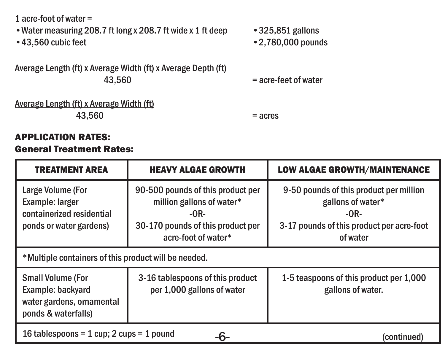1 acre-foot of water =

•Water measuring 208.7 ft long x 208.7 ft wide x 1 ft deep •325,851 gallons

Average Length (ft) x Average Width (ft) x Average Depth (ft)

 $\cdot$  2.780,000 pounds

 $=$  acre-feet of water

#### Average Length (ft) x Average Width (ft)  $43.560$  = acres

#### APPLICATION RATES: General Treatment Rates:

| <b>TREATMENT AREA</b>                                                                             | <b>HEAVY ALGAE GROWTH</b>                                                                                                            | <b>LOW ALGAE GROWTH/MAINTENANCE</b>                                                                                             |
|---------------------------------------------------------------------------------------------------|--------------------------------------------------------------------------------------------------------------------------------------|---------------------------------------------------------------------------------------------------------------------------------|
| Large Volume (For<br>Example: larger<br>containerized residential<br>ponds or water gardens)      | 90-500 pounds of this product per<br>million gallons of water*<br>$-OR-$<br>30-170 pounds of this product per<br>acre-foot of water* | 9-50 pounds of this product per million<br>gallons of water*<br>$-OR-$<br>3-17 pounds of this product per acre-foot<br>of water |
| *Multiple containers of this product will be needed.                                              |                                                                                                                                      |                                                                                                                                 |
| <b>Small Volume (For</b><br>Example: backvard<br>water gardens, ornamental<br>ponds & waterfalls) | 3-16 tablespoons of this product<br>per 1,000 gallons of water                                                                       | 1-5 teaspoons of this product per 1,000<br>gallons of water.                                                                    |
| 16 tablespoons = $1$ cup; $2$ cups = $1$ pound<br>-6-<br>(continued)                              |                                                                                                                                      |                                                                                                                                 |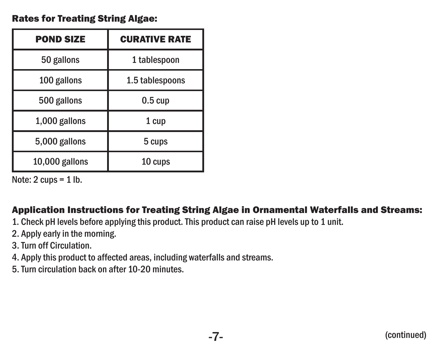#### Rates for Treating String Algae:

| <b>POND SIZE</b> | <b>CURATIVE RATE</b> |
|------------------|----------------------|
| 50 gallons       | 1 tablespoon         |
| 100 gallons      | 1.5 tablespoons      |
| 500 gallons      | $0.5 \text{ cup}$    |
| 1,000 gallons    | 1 cup                |
| 5,000 gallons    | 5 cups               |
| 10,000 gallons   | 10 cups              |

Note:  $2 \text{ cups} = 1 \text{ lb}$ .

#### Application Instructions for Treating String Algae in Ornamental Waterfalls and Streams:

- 1. Check pH levels before applying this product. This product can raise pH levels up to 1 unit.
- 2. Apply early in the morning.
- 3. Turn off Circulation.
- 4. Apply this product to affected areas, including waterfalls and streams.
- 5. Turn circulation back on after 10-20 minutes.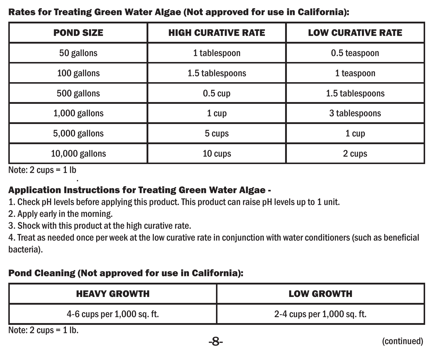#### Rates for Treating Green Water Algae (Not approved for use in California):

| <b>POND SIZE</b> | <b>HIGH CURATIVE RATE</b> | <b>LOW CURATIVE RATE</b> |
|------------------|---------------------------|--------------------------|
| 50 gallons       | 1 tablespoon              | 0.5 teaspoon             |
| 100 gallons      | 1.5 tablespoons           | 1 teaspoon               |
| 500 gallons      | $0.5 \text{ cup}$         | 1.5 tablespoons          |
| 1,000 gallons    | 1 cup                     | 3 tablespoons            |
| 5,000 gallons    | 5 cups                    | 1 cup                    |
| 10,000 gallons   | 10 cups                   | 2 cups                   |

Note:  $2 \text{ cups} = 1 \text{ lb}$ 

#### Application Instructions for Treating Green Water Algae -

1. Check pH levels before applying this product. This product can raise pH levels up to 1 unit.

2. Apply early in the morning.

3. Shock with this product at the high curative rate.

4. Treat as needed once per week at the low curative rate in conjunction with water conditioners (such as beneficial bacteria).

#### Pond Cleaning (Not approved for use in California):

| 2-4 cups per 1,000 sq. ft. |
|----------------------------|
|                            |

Note: 2 cups = 1 lb.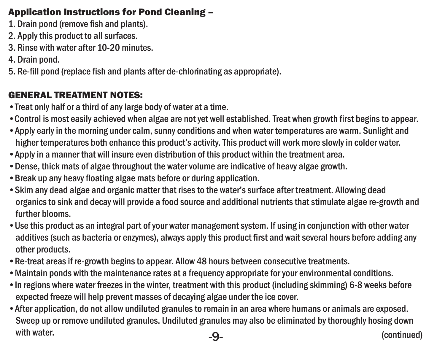#### Application Instructions for Pond Cleaning –

- 1. Drain pond (remove fish and plants).
- 2. Apply this product to all surfaces.
- 3. Rinse with water after 10-20 minutes.
- 4. Drain pond.
- 5. Re-fill pond (replace fish and plants after de-chlorinating as appropriate).

#### GENERAL TREATMENT NOTES:

- •Treat only half or a third of any large body of water at a time.
- •Control is most easily achieved when algae are not yet well established. Treat when growth first begins to appear.
- •Apply early in the morning under calm, sunny conditions and when water temperatures are warm. Sunlight and higher temperatures both enhance this product's activity. This product will work more slowly in colder water.
- •Apply in a manner that will insure even distribution of this product within the treatment area.
- •Dense, thick mats of algae throughout the water volume are indicative of heavy algae growth.
- •Break up any heavy floating algae mats before or during application.
- •Skim any dead algae and organic matter that rises to the water's surface after treatment. Allowing dead organics to sink and decay will provide a food source and additional nutrients that stimulate algae re-growth and further blooms.
- •Use this product as an integral part of your water management system. If using in conjunction with other water additives (such as bacteria or enzymes), always apply this product first and wait several hours before adding any other products.
- •Re-treat areas if re-growth begins to appear. Allow 48 hours between consecutive treatments.
- •Maintain ponds with the maintenance rates at a frequency appropriate for your environmental conditions.
- •In regions where water freezes in the winter, treatment with this product (including skimming) 6-8 weeks before expected freeze will help prevent masses of decaying algae under the ice cover.
- •After application, do not allow undiluted granules to remain in an area where humans or animals are exposed. Sweep up or remove undiluted granules. Undiluted granules may also be eliminated by thoroughly hosing down with water. Continued and the continued of the continued of the continued of the continued of the continued of the continued of the continued of the continued of the continued of the continued of the continued of the conti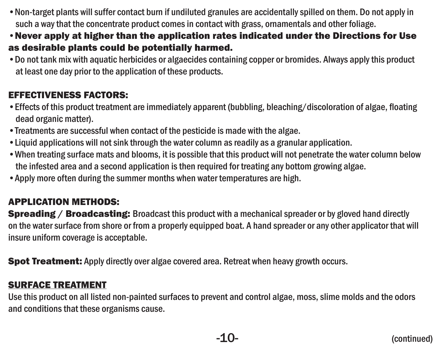- •Non-target plants will suffer contact burn if undiluted granules are accidentally spilled on them. Do not apply in such a way that the concentrate product comes in contact with grass, ornamentals and other foliage.
- •Never apply at higher than the application rates indicated under the Directions for Use as desirable plants could be potentially harmed.
- •Do not tank mix with aquatic herbicides or algaecides containing copper or bromides. Always apply this product at least one day prior to the application of these products.

#### EFFECTIVENESS FACTORS:

- •Effects of this product treatment are immediately apparent (bubbling, bleaching/discoloration of algae, floating dead organic matter).
- •Treatments are successful when contact of the pesticide is made with the algae.
- •Liquid applications will not sink through the water column as readily as a granular application.
- •When treating surface mats and blooms, it is possible that this product will not penetrate the water column below the infested area and a second application is then required for treating any bottom growing algae.
- •Apply more often during the summer months when water temperatures are high.

#### APPLICATION METHODS:

**Spreading / Broadcasting:** Broadcast this product with a mechanical spreader or by gloved hand directly on the water surface from shore or from a properly equipped boat. A hand spreader or any other applicator that will insure uniform coverage is acceptable.

**Spot Treatment:** Apply directly over algae covered area. Retreat when heavy growth occurs.

#### SURFACE TREATMENT

Use this product on all listed non-painted surfaces to prevent and control algae, moss, slime molds and the odors and conditions that these organisms cause.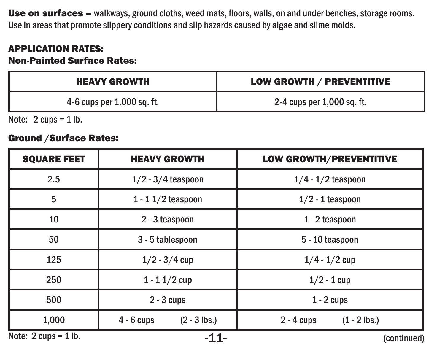Use on surfaces - walkways, ground cloths, weed mats, floors, walls, on and under benches, storage rooms. Use in areas that promote slippery conditions and slip hazards caused by algae and slime molds.

#### APPLICATION RATES:

#### Non-Painted Surface Rates:

| <b>HEAVY GROWTH</b>        | LOW GROWTH / PREVENTITIVE  |
|----------------------------|----------------------------|
| 4-6 cups per 1,000 sq. ft. | 2-4 cups per 1,000 sq. ft. |

Note: 2 cups = 1 lb.

#### Ground /Surface Rates:

| <b>SOUARE FEET</b>       | <b>HEAVY GROWTH</b>            | <b>LOW GROWTH/PREVENTITIVE</b> |
|--------------------------|--------------------------------|--------------------------------|
| 2.5                      | $1/2 - 3/4$ teaspoon           | $1/4 - 1/2$ teaspoon           |
| 5                        | $1 - 11/2$ teaspoon            | $1/2 - 1$ teaspoon             |
| 10                       | 2 - 3 teaspoon                 | 1 - 2 teaspoon                 |
| 50                       | 3 - 5 tablespoon               | 5 - 10 teaspoon                |
| 125                      | $1/2 - 3/4$ cup                | $1/4 - 1/2$ cup                |
| 250                      | $1 - 11/2$ cup                 | $1/2 - 1$ cup                  |
| 500                      | $2 - 3$ cups                   | $1 - 2$ cups                   |
| 1.000                    | $(2 - 3$ lbs.)<br>$4 - 6$ cups | $(1 - 2$ lbs.)<br>$2 - 4$ cups |
| Note: $2$ cups = $1$ lb. | -11-                           | (continued)                    |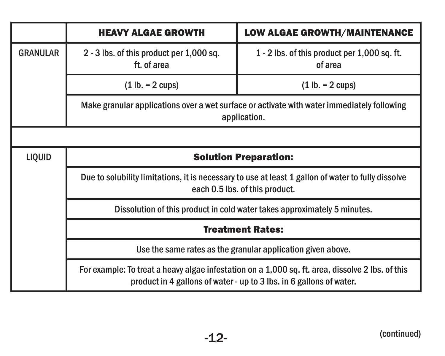|                 | <b>HEAVY ALGAE GROWTH</b>                                                                                                                                               | <b>LOW ALGAE GROWTH/MAINTENANCE</b>                         |  |
|-----------------|-------------------------------------------------------------------------------------------------------------------------------------------------------------------------|-------------------------------------------------------------|--|
| <b>GRANULAR</b> | 2 - 3 lbs. of this product per 1,000 sq.<br>ft. of area                                                                                                                 | 1 - 2 lbs. of this product per 1,000 sq. ft.<br>of area     |  |
|                 | $(1 lb. = 2 cups)$                                                                                                                                                      | $(1 lb. = 2 cups)$                                          |  |
|                 | Make granular applications over a wet surface or activate with water immediately following<br>application.                                                              |                                                             |  |
|                 |                                                                                                                                                                         |                                                             |  |
| LIQUID          | <b>Solution Preparation:</b>                                                                                                                                            |                                                             |  |
|                 | Due to solubility limitations, it is necessary to use at least 1 gallon of water to fully dissolve<br>each 0.5 lbs. of this product.                                    |                                                             |  |
|                 | Dissolution of this product in cold water takes approximately 5 minutes.                                                                                                |                                                             |  |
|                 | <b>Treatment Rates:</b>                                                                                                                                                 |                                                             |  |
|                 |                                                                                                                                                                         | Use the same rates as the granular application given above. |  |
|                 | For example: To treat a heavy algae infestation on a 1,000 sq. ft. area, dissolve 2 lbs. of this<br>product in 4 gallons of water - up to 3 lbs. in 6 gallons of water. |                                                             |  |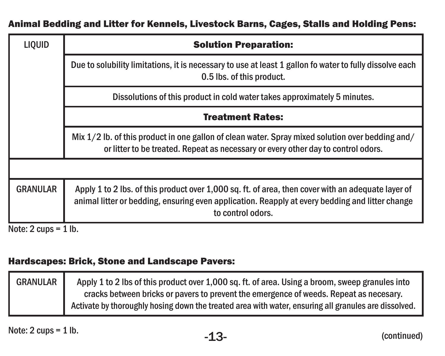| Animal Bedding and Litter for Kennels, Livestock Barns, Cages, Stalls and Holding Pens: |  |  |
|-----------------------------------------------------------------------------------------|--|--|
|-----------------------------------------------------------------------------------------|--|--|

| LIQUID                                  | <b>Solution Preparation:</b>                                                                                                                                                                                               |
|-----------------------------------------|----------------------------------------------------------------------------------------------------------------------------------------------------------------------------------------------------------------------------|
|                                         | Due to solubility limitations, it is necessary to use at least 1 gallon fo water to fully dissolve each<br>0.5 lbs. of this product.                                                                                       |
|                                         | Dissolutions of this product in cold water takes approximately 5 minutes.                                                                                                                                                  |
|                                         | <b>Treatment Rates:</b>                                                                                                                                                                                                    |
|                                         | Mix 1/2 lb. of this product in one gallon of clean water. Spray mixed solution over bedding and/<br>or litter to be treated. Repeat as necessary or every other day to control odors.                                      |
|                                         |                                                                                                                                                                                                                            |
| <b>GRANULAR</b>                         | Apply 1 to 2 lbs. of this product over 1,000 sq. ft. of area, then cover with an adequate layer of<br>animal litter or bedding, ensuring even application. Reapply at every bedding and litter change<br>to control odors. |
| Note: $2 \text{ cups} = 1 \text{ lb}$ . |                                                                                                                                                                                                                            |

#### Hardscapes: Brick, Stone and Landscape Pavers:

| <b>GRANULAR</b> | Apply 1 to 2 lbs of this product over 1,000 sq. ft. of area. Using a broom, sweep granules into      |
|-----------------|------------------------------------------------------------------------------------------------------|
|                 | cracks between bricks or pavers to prevent the emergence of weeds. Repeat as necesary.               |
|                 | Activate by thoroughly hosing down the treated area with water, ensuring all granules are dissolved. |

Note:  $2 \text{ cups} = 1 \text{ lb.}$  -13-  $-13$ - (continued)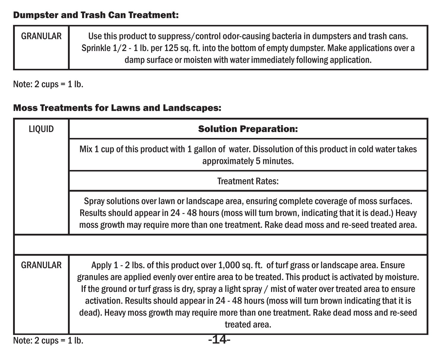#### Dumpster and Trash Can Treatment:

| <b>GRANULAR</b> | Use this product to suppress/control odor-causing bacteria in dumpsters and trash cans.            |
|-----------------|----------------------------------------------------------------------------------------------------|
|                 | Sprinkle $1/2$ - 1 lb. per 125 sq. ft. into the bottom of empty dumpster. Make applications over a |
|                 | damp surface or moisten with water immediately following application.                              |

Note: 2 cups = 1 lb.

#### Moss Treatments for Lawns and Landscapes:

| LIQUID                   | <b>Solution Preparation:</b>                                                                                                                                                                                                                                                                                                                                                                                                                                                                                            |
|--------------------------|-------------------------------------------------------------------------------------------------------------------------------------------------------------------------------------------------------------------------------------------------------------------------------------------------------------------------------------------------------------------------------------------------------------------------------------------------------------------------------------------------------------------------|
|                          | Mix 1 cup of this product with 1 gallon of water. Dissolution of this product in cold water takes<br>approximately 5 minutes.                                                                                                                                                                                                                                                                                                                                                                                           |
|                          | <b>Treatment Rates:</b>                                                                                                                                                                                                                                                                                                                                                                                                                                                                                                 |
|                          | Spray solutions over lawn or landscape area, ensuring complete coverage of moss surfaces.<br>Results should appear in 24 - 48 hours (moss will turn brown, indicating that it is dead.) Heavy<br>moss growth may require more than one treatment. Rake dead moss and re-seed treated area.                                                                                                                                                                                                                              |
|                          |                                                                                                                                                                                                                                                                                                                                                                                                                                                                                                                         |
| <b>GRANULAR</b>          | Apply 1 - 2 lbs. of this product over 1,000 sq. ft. of turf grass or landscape area. Ensure<br>granules are applied evenly over entire area to be treated. This product is activated by moisture.<br>If the ground or turf grass is dry, spray a light spray / mist of water over treated area to ensure<br>activation. Results should appear in 24 - 48 hours (moss will turn brown indicating that it is<br>dead). Heavy moss growth may require more than one treatment. Rake dead moss and re-seed<br>treated area. |
| Note: $2$ cups = $1$ lb. |                                                                                                                                                                                                                                                                                                                                                                                                                                                                                                                         |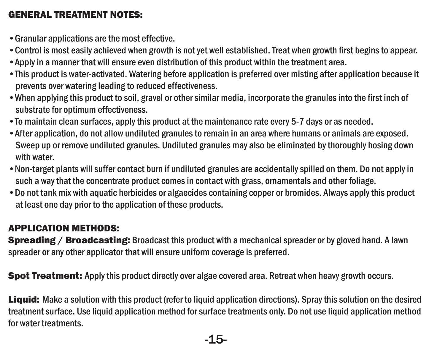#### GENERAL TREATMENT NOTES:

- •Granular applications are the most effective.
- •Control is most easily achieved when growth is not yet well established. Treat when growth first begins to appear.
- •Apply in a manner that will ensure even distribution of this product within the treatment area.
- •This product is water-activated. Watering before application is preferred over misting after application because it prevents over watering leading to reduced effectiveness.
- •When applying this product to soil, gravel or other similar media, incorporate the granules into the first inch of substrate for optimum effectiveness.
- •To maintain clean surfaces, apply this product at the maintenance rate every 5-7 days or as needed.
- •After application, do not allow undiluted granules to remain in an area where humans or animals are exposed. Sweep up or remove undiluted granules. Undiluted granules may also be eliminated by thoroughly hosing down with water.
- •Non-target plants will suffer contact burn if undiluted granules are accidentally spilled on them. Do not apply in such a way that the concentrate product comes in contact with grass, ornamentals and other foliage.
- •Do not tank mix with aquatic herbicides or algaecides containing copper or bromides. Always apply this product at least one day prior to the application of these products.

#### APPLICATION METHODS:

**Spreading / Broadcasting:** Broadcast this product with a mechanical spreader or by gloved hand. A lawn spreader or any other applicator that will ensure uniform coverage is preferred.

**Spot Treatment:** Apply this product directly over algae covered area. Retreat when heavy growth occurs.

Liquid: Make a solution with this product (refer to liquid application directions). Spray this solution on the desired treatment surface. Use liquid application method for surface treatments only. Do not use liquid application method for water treatments.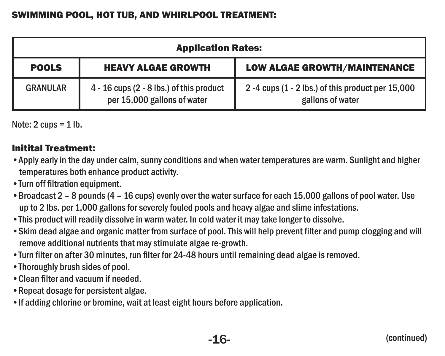| <b>Application Rates:</b> |                                                                           |                                                                      |  |  |
|---------------------------|---------------------------------------------------------------------------|----------------------------------------------------------------------|--|--|
| <b>POOLS</b>              | <b>HEAVY ALGAE GROWTH</b>                                                 | <b>LOW ALGAE GROWTH/MAINTENANCE</b>                                  |  |  |
| <b>GRANULAR</b>           | $4 - 16$ cups (2 - 8 lbs.) of this product<br>per 15,000 gallons of water | 2-4 cups (1 - 2 lbs.) of this product per 15,000<br>gallons of water |  |  |

Note:  $2 \text{ cups} = 1 \text{ lb}$ .

#### Initital Treatment:

- •Apply early in the day under calm, sunny conditions and when water temperatures are warm. Sunlight and higher temperatures both enhance product activity.
- •Turn off filtration equipment.
- •Broadcast 2 8 pounds (4 16 cups) evenly over the water surface for each 15,000 gallons of pool water. Use up to 2 lbs. per 1,000 gallons for severely fouled pools and heavy algae and slime infestations.
- •This product will readily dissolve in warm water. In cold water it may take longer to dissolve.
- •Skim dead algae and organic matter from surface of pool. This will help prevent filter and pump clogging and will remove additional nutrients that may stimulate algae re-growth.
- •Turn filter on after 30 minutes, run filter for 24-48 hours until remaining dead algae is removed.
- •Thoroughly brush sides of pool.
- •Clean filter and vacuum if needed.
- •Repeat dosage for persistent algae.
- •If adding chlorine or bromine, wait at least eight hours before application.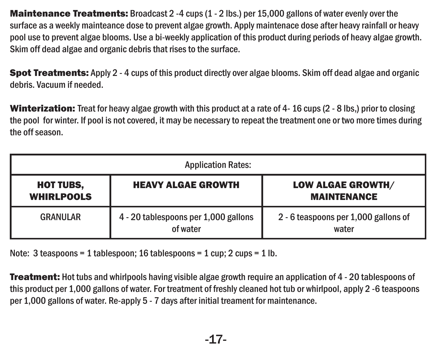Maintenance Treatments: Broadcast 2 -4 cups (1 - 2 lbs.) per 15,000 gallons of water evenly over the surface as a weekly mainteance dose to prevent algae growth. Apply maintenace dose after heavy rainfall or heavy pool use to prevent algae blooms. Use a bi-weekly application of this product during periods of heavy algae growth. Skim off dead algae and organic debris that rises to the surface.

Spot Treatments: Apply 2 - 4 cups of this product directly over algae blooms. Skim off dead algae and organic debris. Vacuum if needed.

Winterization: Treat for heavy algae growth with this product at a rate of 4-16 cups (2 - 8 lbs.) prior to closing the pool for winter. If pool is not covered, it may be necessary to repeat the treatment one or two more times during the off season.

| <b>Application Rates:</b>             |                                                  |                                                |  |  |
|---------------------------------------|--------------------------------------------------|------------------------------------------------|--|--|
| <b>HOT TUBS,</b><br><b>WHIRLPOOLS</b> | <b>HEAVY ALGAE GROWTH</b>                        | <b>LOW ALGAE GROWTH/</b><br><b>MAINTENANCE</b> |  |  |
| GRANULAR                              | 4 - 20 tablespoons per 1,000 gallons<br>of water | 2 - 6 teaspoons per 1,000 gallons of<br>water  |  |  |

Note: 3 teaspoons = 1 tablespoon; 16 tablespoons = 1 cup; 2 cups = 1 lb.

**Treatment:** Hot tubs and whirlpools having visible algae growth require an application of 4 - 20 tablespoons of this product per 1,000 gallons of water. For treatment of freshly cleaned hot tub or whirlpool, apply 2 -6 teaspoons per 1,000 gallons of water. Re-apply 5 - 7 days after initial treament for maintenance.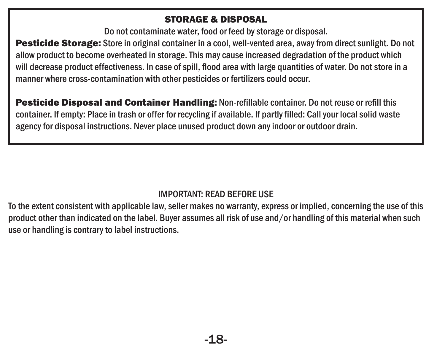#### STORAGE & DISPOSAL

Do not contaminate water, food or feed by storage or disposal.

Pesticide Storage: Store in original container in a cool, well-vented area, away from direct sunlight. Do not allow product to become overheated in storage. This may cause increased degradation of the product which will decrease product effectiveness. In case of spill, flood area with large quantities of water. Do not store in a manner where cross-contamination with other pesticides or fertilizers could occur.

Pesticide Disposal and Container Handling: Non-refillable container. Do not reuse or refill this container. If empty: Place in trash or offer for recycling if available. If partly filled: Call your local solid waste agency for disposal instructions. Never place unused product down any indoor or outdoor drain.

#### IMPORTANT: READ BEFORE USE

To the extent consistent with applicable law, seller makes no warranty, express or implied, concerning the use of this product other than indicated on the label. Buyer assumes all risk of use and/or handling of this material when such use or handling is contrary to label instructions.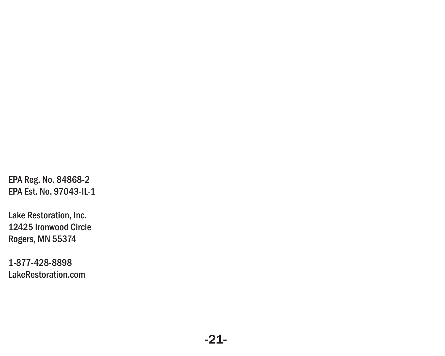EPA Reg. No. 84868-2 EPA Est. No. 97043-IL-1

Lake Restoration, Inc. 12425 Ironwood Circle Rogers, MN 55374

1-877-428-8898 LakeRestoration.com